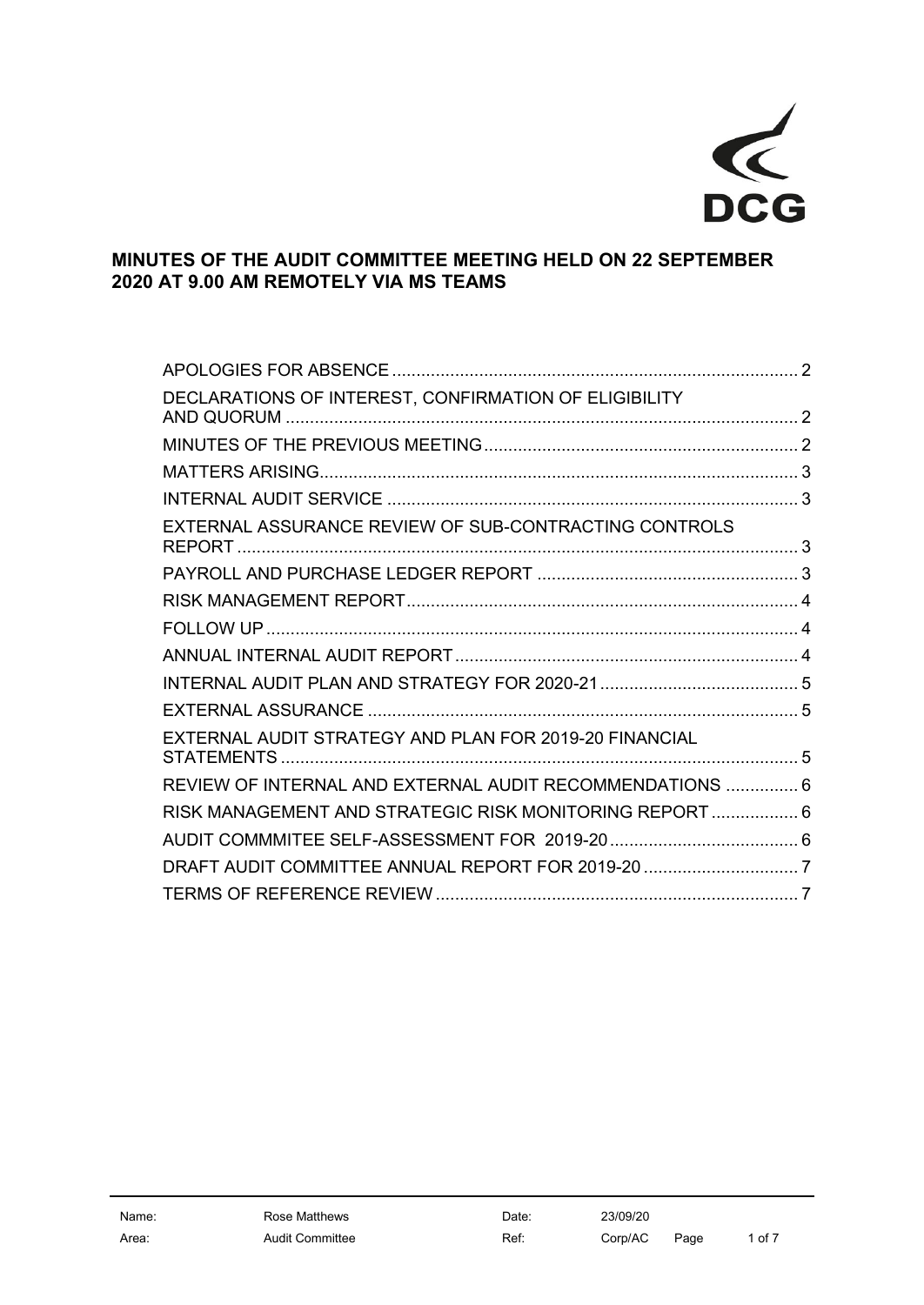

# **MINUTES OF THE AUDIT COMMITTEE MEETING HELD ON 22 SEPTEMBER 2020 AT 9.00 AM REMOTELY VIA MS TEAMS**

| DECLARATIONS OF INTEREST, CONFIRMATION OF ELIGIBILITY    |  |
|----------------------------------------------------------|--|
|                                                          |  |
|                                                          |  |
|                                                          |  |
| EXTERNAL ASSURANCE REVIEW OF SUB-CONTRACTING CONTROLS    |  |
|                                                          |  |
|                                                          |  |
|                                                          |  |
|                                                          |  |
|                                                          |  |
|                                                          |  |
| EXTERNAL AUDIT STRATEGY AND PLAN FOR 2019-20 FINANCIAL   |  |
| REVIEW OF INTERNAL AND EXTERNAL AUDIT RECOMMENDATIONS  6 |  |
| RISK MANAGEMENT AND STRATEGIC RISK MONITORING REPORT  6  |  |
|                                                          |  |
| DRAFT AUDIT COMMITTEE ANNUAL REPORT FOR 2019-20 7        |  |
|                                                          |  |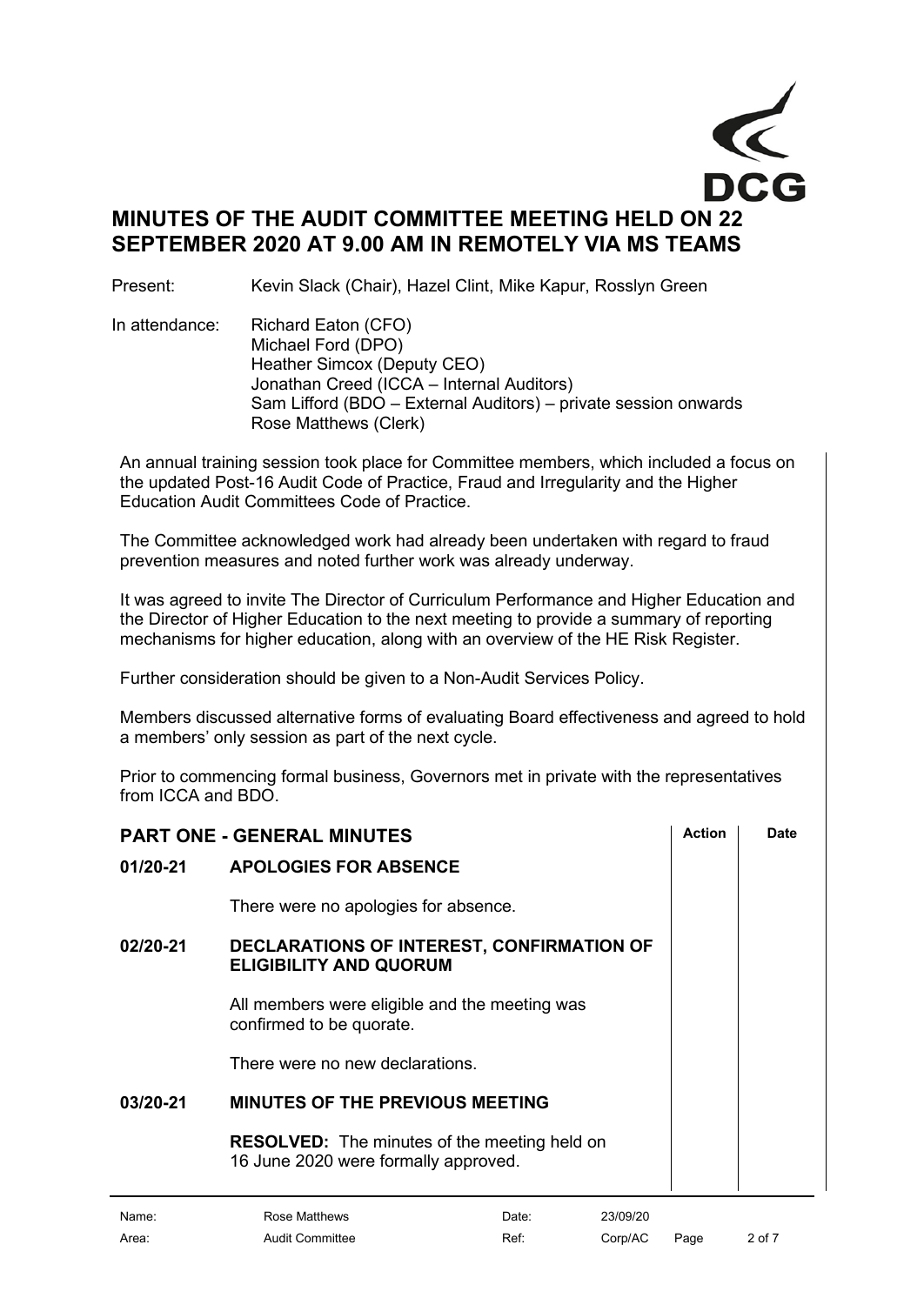

Present: Kevin Slack (Chair), Hazel Clint, Mike Kapur, Rosslyn Green

In attendance: Richard Eaton (CFO) Michael Ford (DPO) Heather Simcox (Deputy CEO) Jonathan Creed (ICCA – Internal Auditors) Sam Lifford (BDO – External Auditors) – private session onwards Rose Matthews (Clerk)

An annual training session took place for Committee members, which included a focus on the updated Post-16 Audit Code of Practice, Fraud and Irregularity and the Higher Education Audit Committees Code of Practice.

The Committee acknowledged work had already been undertaken with regard to fraud prevention measures and noted further work was already underway.

It was agreed to invite The Director of Curriculum Performance and Higher Education and the Director of Higher Education to the next meeting to provide a summary of reporting mechanisms for higher education, along with an overview of the HE Risk Register.

Further consideration should be given to a Non-Audit Services Policy.

Members discussed alternative forms of evaluating Board effectiveness and agreed to hold a members' only session as part of the next cycle.

Prior to commencing formal business, Governors met in private with the representatives from ICCA and BDO.

<span id="page-1-1"></span><span id="page-1-0"></span>

|          | <b>PART ONE - GENERAL MINUTES</b>                                                           | Action | Date |
|----------|---------------------------------------------------------------------------------------------|--------|------|
| 01/20-21 | <b>APOLOGIES FOR ABSENCE</b>                                                                |        |      |
|          | There were no apologies for absence.                                                        |        |      |
| 02/20-21 | DECLARATIONS OF INTEREST, CONFIRMATION OF<br><b>ELIGIBILITY AND QUORUM</b>                  |        |      |
|          | All members were eligible and the meeting was<br>confirmed to be quorate.                   |        |      |
|          | There were no new declarations.                                                             |        |      |
| 03/20-21 | <b>MINUTES OF THE PREVIOUS MEETING</b>                                                      |        |      |
|          | <b>RESOLVED:</b> The minutes of the meeting held on<br>16 June 2020 were formally approved. |        |      |

<span id="page-1-2"></span>

| Name: | Rose Matthews   | Date: | 23/09/20 |      |        |
|-------|-----------------|-------|----------|------|--------|
| Area: | Audit Committee | Ref:  | Corp/AC  | Page | 2 of 7 |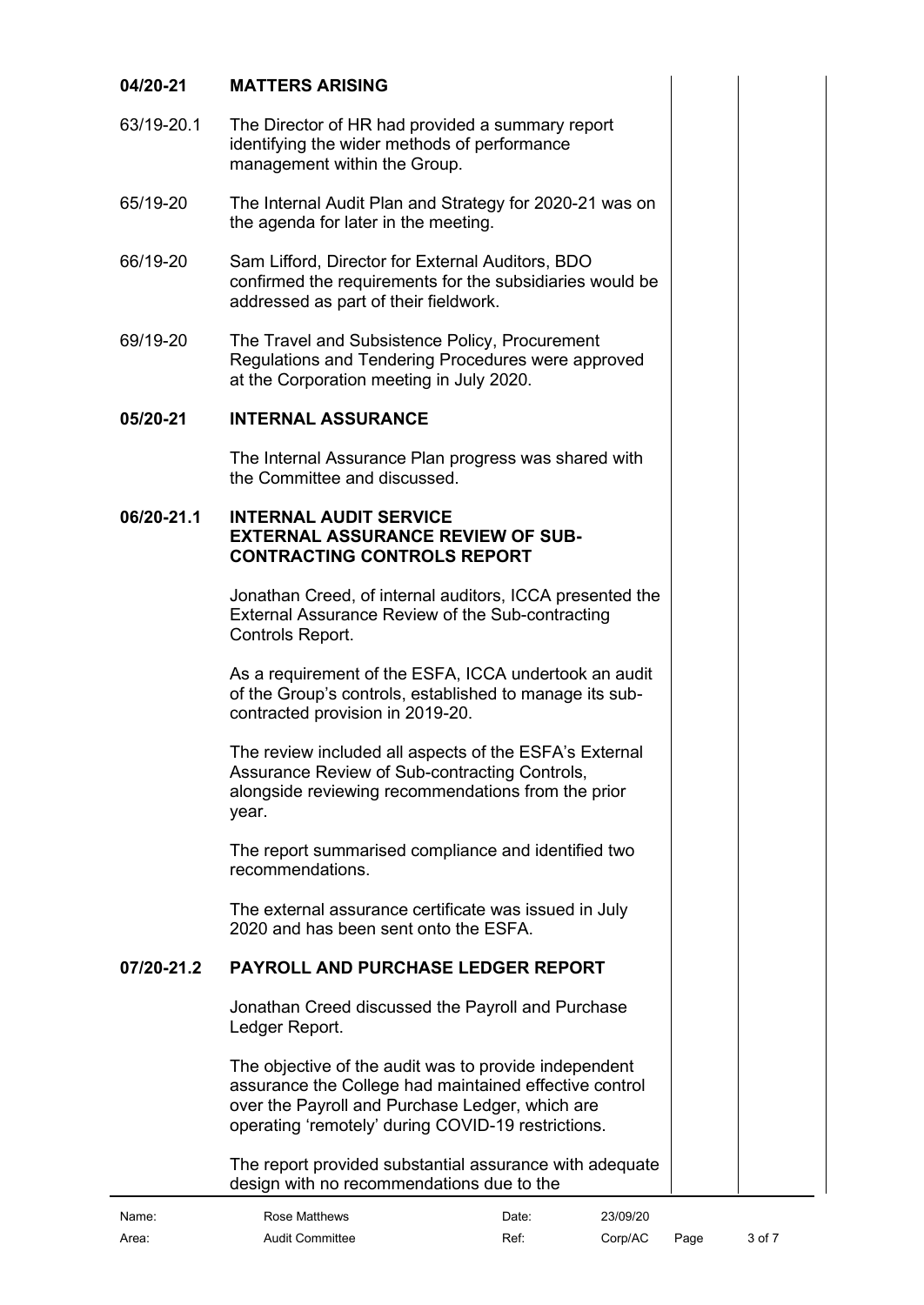# <span id="page-2-0"></span>**04/20-21 MATTERS ARISING**

- 63/19-20.1 The Director of HR had provided a summary report identifying the wider methods of performance management within the Group.
- 65/19-20 The Internal Audit Plan and Strategy for 2020-21 was on the agenda for later in the meeting.
- 66/19-20 Sam Lifford, Director for External Auditors, BDO confirmed the requirements for the subsidiaries would be addressed as part of their fieldwork.
- 69/19-20 The Travel and Subsistence Policy, Procurement Regulations and Tendering Procedures were approved at the Corporation meeting in July 2020.

#### **05/20-21 INTERNAL ASSURANCE**

<span id="page-2-1"></span>The Internal Assurance Plan progress was shared with the Committee and discussed.

#### **06/20-21.1 INTERNAL AUDIT SERVICE EXTERNAL ASSURANCE REVIEW OF SUB-CONTRACTING CONTROLS REPORT**

<span id="page-2-2"></span>Jonathan Creed, of internal auditors, ICCA presented the External Assurance Review of the Sub-contracting Controls Report.

As a requirement of the ESFA, ICCA undertook an audit of the Group's controls, established to manage its subcontracted provision in 2019-20.

The review included all aspects of the ESFA's External Assurance Review of Sub-contracting Controls, alongside reviewing recommendations from the prior year.

The report summarised compliance and identified two recommendations.

The external assurance certificate was issued in July 2020 and has been sent onto the ESFA.

# **07/20-21.2 PAYROLL AND PURCHASE LEDGER REPORT**

<span id="page-2-3"></span>Jonathan Creed discussed the Payroll and Purchase Ledger Report.

The objective of the audit was to provide independent assurance the College had maintained effective control over the Payroll and Purchase Ledger, which are operating 'remotely' during COVID-19 restrictions.

The report provided substantial assurance with adequate design with no recommendations due to the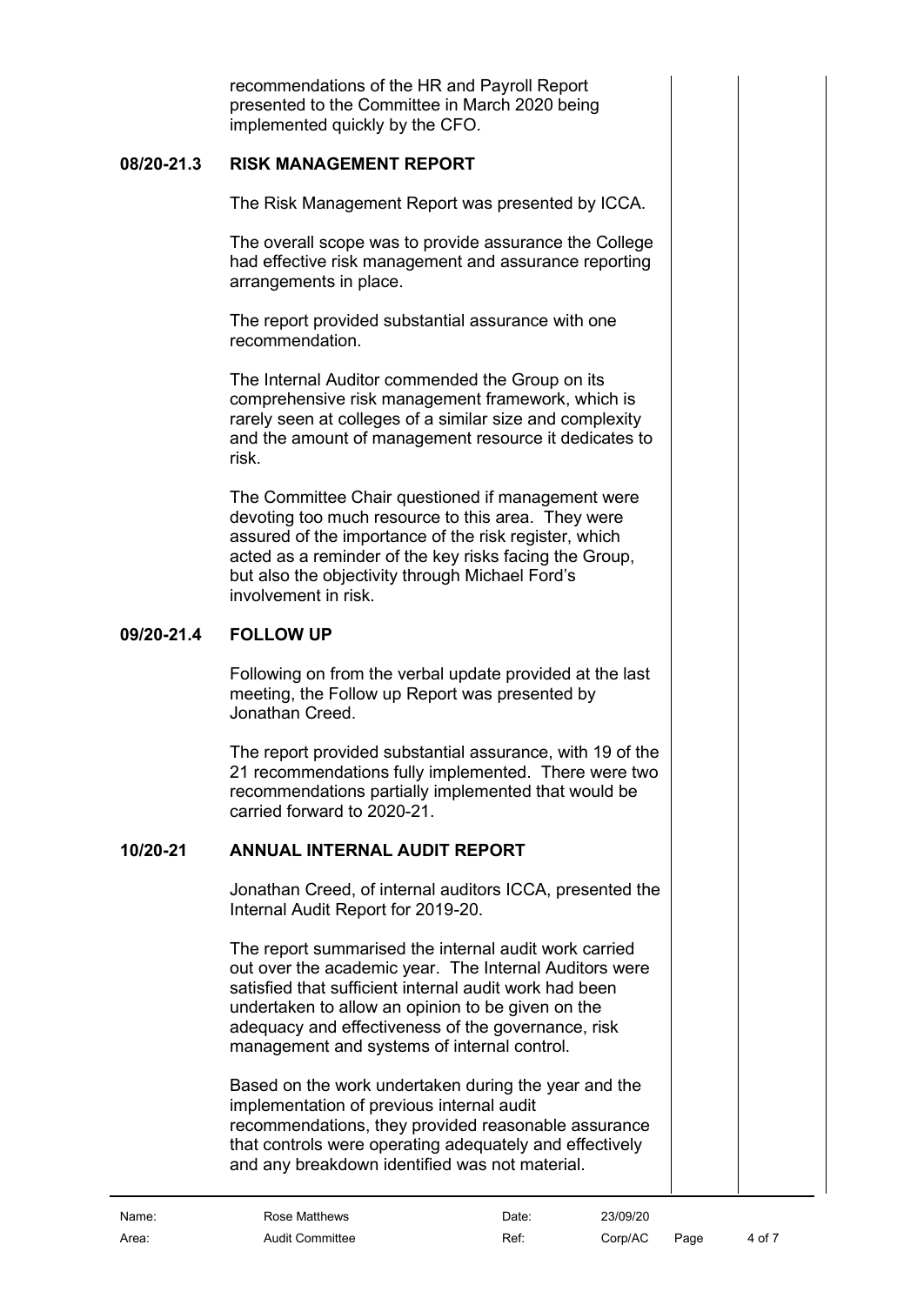recommendations of the HR and Payroll Report presented to the Committee in March 2020 being implemented quickly by the CFO.

#### **08/20-21.3 RISK MANAGEMENT REPORT**

<span id="page-3-0"></span>The Risk Management Report was presented by ICCA.

The overall scope was to provide assurance the College had effective risk management and assurance reporting arrangements in place.

The report provided substantial assurance with one recommendation.

The Internal Auditor commended the Group on its comprehensive risk management framework, which is rarely seen at colleges of a similar size and complexity and the amount of management resource it dedicates to risk.

The Committee Chair questioned if management were devoting too much resource to this area. They were assured of the importance of the risk register, which acted as a reminder of the key risks facing the Group, but also the objectivity through Michael Ford's involvement in risk.

# **09/20-21.4 FOLLOW UP**

<span id="page-3-1"></span>Following on from the verbal update provided at the last meeting, the Follow up Report was presented by Jonathan Creed.

The report provided substantial assurance, with 19 of the 21 recommendations fully implemented. There were two recommendations partially implemented that would be carried forward to 2020-21.

# **10/20-21 ANNUAL INTERNAL AUDIT REPORT**

<span id="page-3-2"></span>Jonathan Creed, of internal auditors ICCA, presented the Internal Audit Report for 2019-20.

The report summarised the internal audit work carried out over the academic year. The Internal Auditors were satisfied that sufficient internal audit work had been undertaken to allow an opinion to be given on the adequacy and effectiveness of the governance, risk management and systems of internal control.

Based on the work undertaken during the year and the implementation of previous internal audit recommendations, they provided reasonable assurance that controls were operating adequately and effectively and any breakdown identified was not material.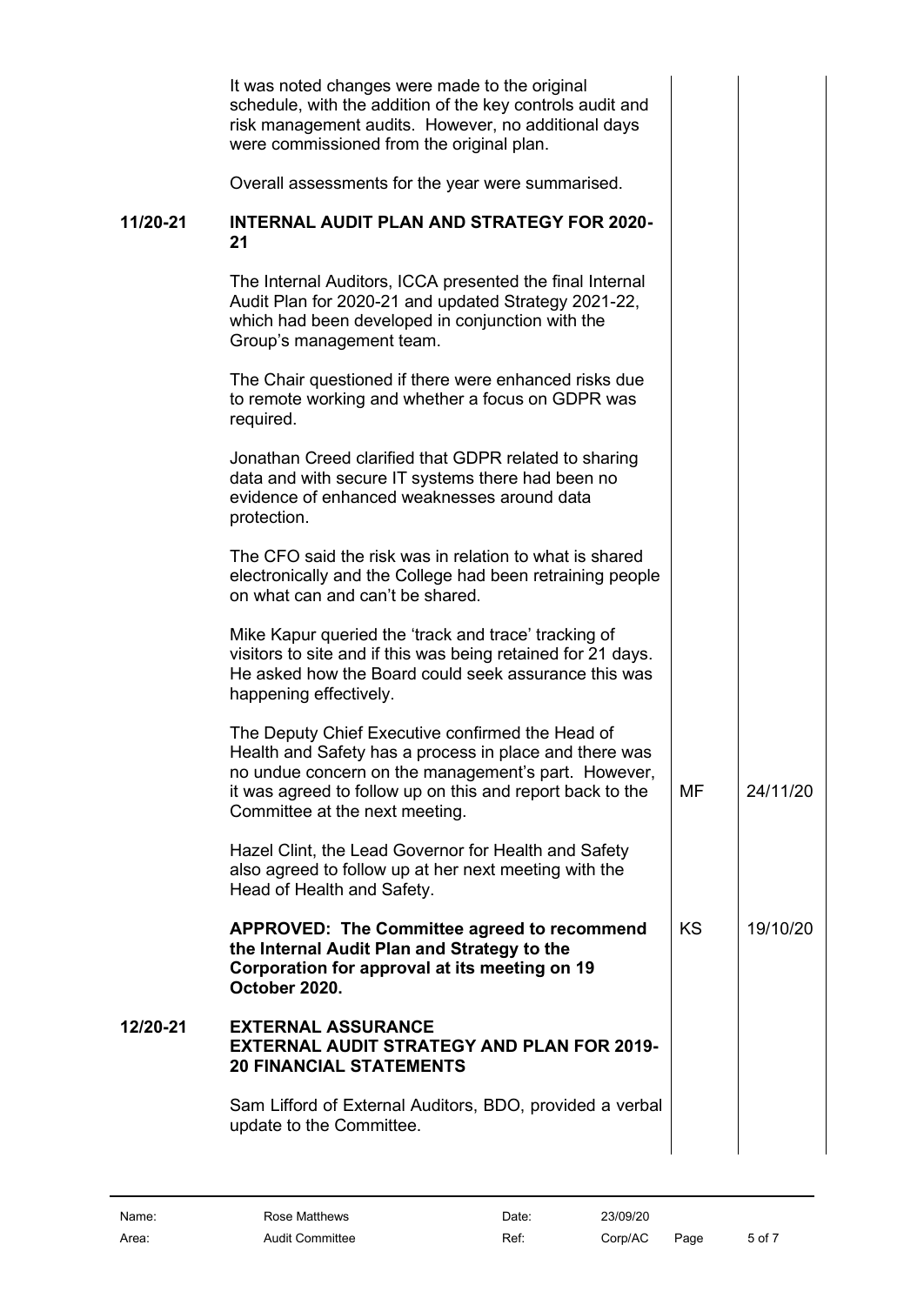<span id="page-4-2"></span><span id="page-4-1"></span><span id="page-4-0"></span>

|          | It was noted changes were made to the original<br>schedule, with the addition of the key controls audit and<br>risk management audits. However, no additional days<br>were commissioned from the original plan.                                                  |           |          |
|----------|------------------------------------------------------------------------------------------------------------------------------------------------------------------------------------------------------------------------------------------------------------------|-----------|----------|
|          | Overall assessments for the year were summarised.                                                                                                                                                                                                                |           |          |
| 11/20-21 | <b>INTERNAL AUDIT PLAN AND STRATEGY FOR 2020-</b><br>21                                                                                                                                                                                                          |           |          |
|          | The Internal Auditors, ICCA presented the final Internal<br>Audit Plan for 2020-21 and updated Strategy 2021-22,<br>which had been developed in conjunction with the<br>Group's management team.                                                                 |           |          |
|          | The Chair questioned if there were enhanced risks due<br>to remote working and whether a focus on GDPR was<br>required.                                                                                                                                          |           |          |
|          | Jonathan Creed clarified that GDPR related to sharing<br>data and with secure IT systems there had been no<br>evidence of enhanced weaknesses around data<br>protection.                                                                                         |           |          |
|          | The CFO said the risk was in relation to what is shared<br>electronically and the College had been retraining people<br>on what can and can't be shared.                                                                                                         |           |          |
|          | Mike Kapur queried the 'track and trace' tracking of<br>visitors to site and if this was being retained for 21 days.<br>He asked how the Board could seek assurance this was<br>happening effectively.                                                           |           |          |
|          | The Deputy Chief Executive confirmed the Head of<br>Health and Safety has a process in place and there was<br>no undue concern on the management's part. However,<br>it was agreed to follow up on this and report back to the<br>Committee at the next meeting. | MF        | 24/11/20 |
|          | Hazel Clint, the Lead Governor for Health and Safety<br>also agreed to follow up at her next meeting with the<br>Head of Health and Safety.                                                                                                                      |           |          |
|          | APPROVED: The Committee agreed to recommend<br>the Internal Audit Plan and Strategy to the<br>Corporation for approval at its meeting on 19<br>October 2020.                                                                                                     | <b>KS</b> | 19/10/20 |
| 12/20-21 | <b>EXTERNAL ASSURANCE</b><br><b>EXTERNAL AUDIT STRATEGY AND PLAN FOR 2019-</b><br><b>20 FINANCIAL STATEMENTS</b>                                                                                                                                                 |           |          |
|          | Sam Lifford of External Auditors, BDO, provided a verbal<br>update to the Committee.                                                                                                                                                                             |           |          |
|          |                                                                                                                                                                                                                                                                  |           |          |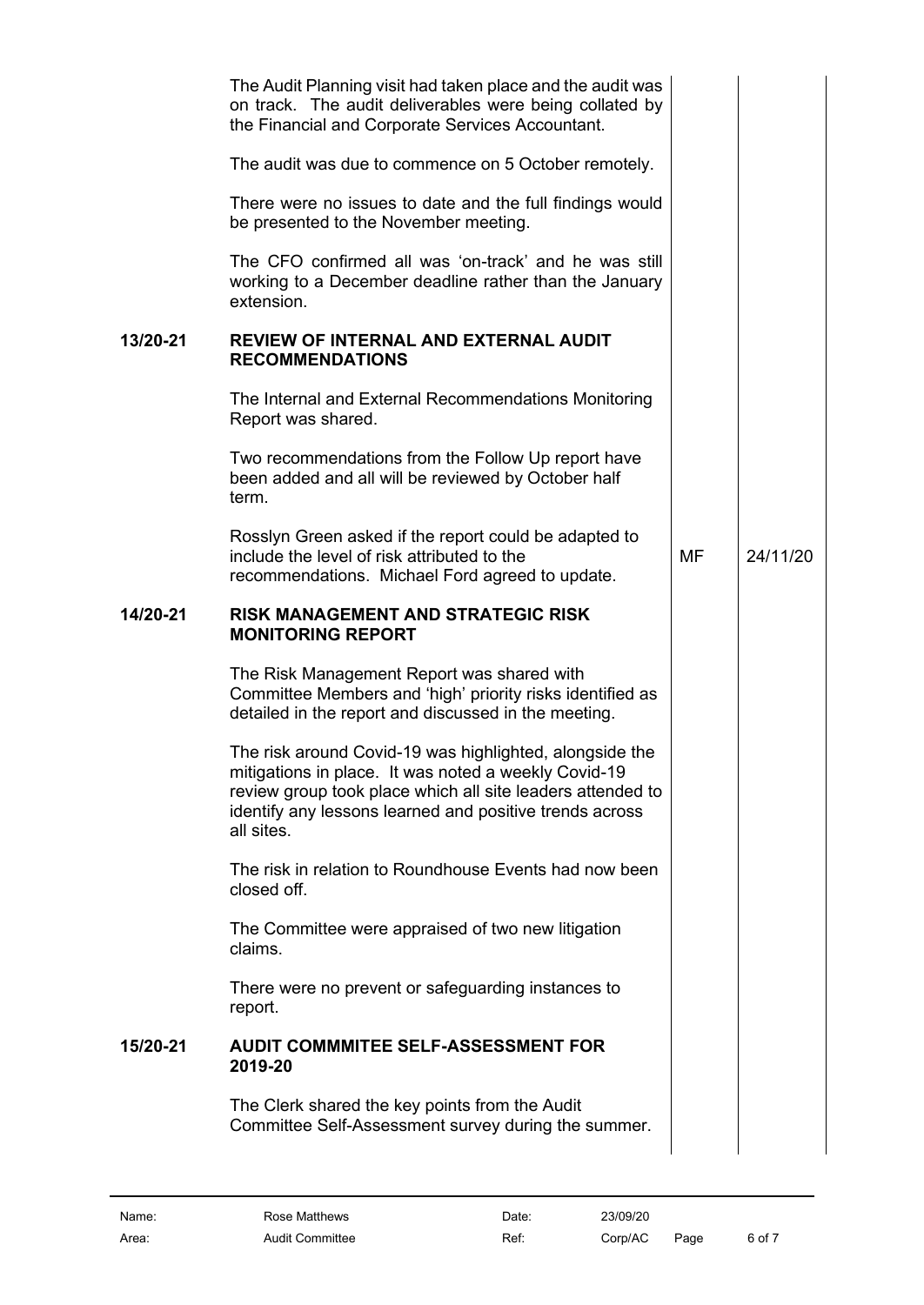<span id="page-5-2"></span><span id="page-5-1"></span><span id="page-5-0"></span>

|          | The Audit Planning visit had taken place and the audit was<br>on track. The audit deliverables were being collated by<br>the Financial and Corporate Services Accountant.                                                                              |           |          |
|----------|--------------------------------------------------------------------------------------------------------------------------------------------------------------------------------------------------------------------------------------------------------|-----------|----------|
|          | The audit was due to commence on 5 October remotely.                                                                                                                                                                                                   |           |          |
|          | There were no issues to date and the full findings would<br>be presented to the November meeting.                                                                                                                                                      |           |          |
|          | The CFO confirmed all was 'on-track' and he was still<br>working to a December deadline rather than the January<br>extension.                                                                                                                          |           |          |
| 13/20-21 | <b>REVIEW OF INTERNAL AND EXTERNAL AUDIT</b><br><b>RECOMMENDATIONS</b>                                                                                                                                                                                 |           |          |
|          | The Internal and External Recommendations Monitoring<br>Report was shared.                                                                                                                                                                             |           |          |
|          | Two recommendations from the Follow Up report have<br>been added and all will be reviewed by October half<br>term.                                                                                                                                     |           |          |
|          | Rosslyn Green asked if the report could be adapted to<br>include the level of risk attributed to the<br>recommendations. Michael Ford agreed to update.                                                                                                | <b>MF</b> | 24/11/20 |
| 14/20-21 | <b>RISK MANAGEMENT AND STRATEGIC RISK</b><br><b>MONITORING REPORT</b>                                                                                                                                                                                  |           |          |
|          | The Risk Management Report was shared with<br>Committee Members and 'high' priority risks identified as<br>detailed in the report and discussed in the meeting.                                                                                        |           |          |
|          | The risk around Covid-19 was highlighted, alongside the<br>mitigations in place. It was noted a weekly Covid-19<br>review group took place which all site leaders attended to<br>identify any lessons learned and positive trends across<br>all sites. |           |          |
|          | The risk in relation to Roundhouse Events had now been<br>closed off.                                                                                                                                                                                  |           |          |
|          | The Committee were appraised of two new litigation<br>claims.                                                                                                                                                                                          |           |          |
|          | There were no prevent or safeguarding instances to<br>report.                                                                                                                                                                                          |           |          |
| 15/20-21 | <b>AUDIT COMMMITEE SELF-ASSESSMENT FOR</b><br>2019-20                                                                                                                                                                                                  |           |          |
|          | The Clerk shared the key points from the Audit<br>Committee Self-Assessment survey during the summer.                                                                                                                                                  |           |          |